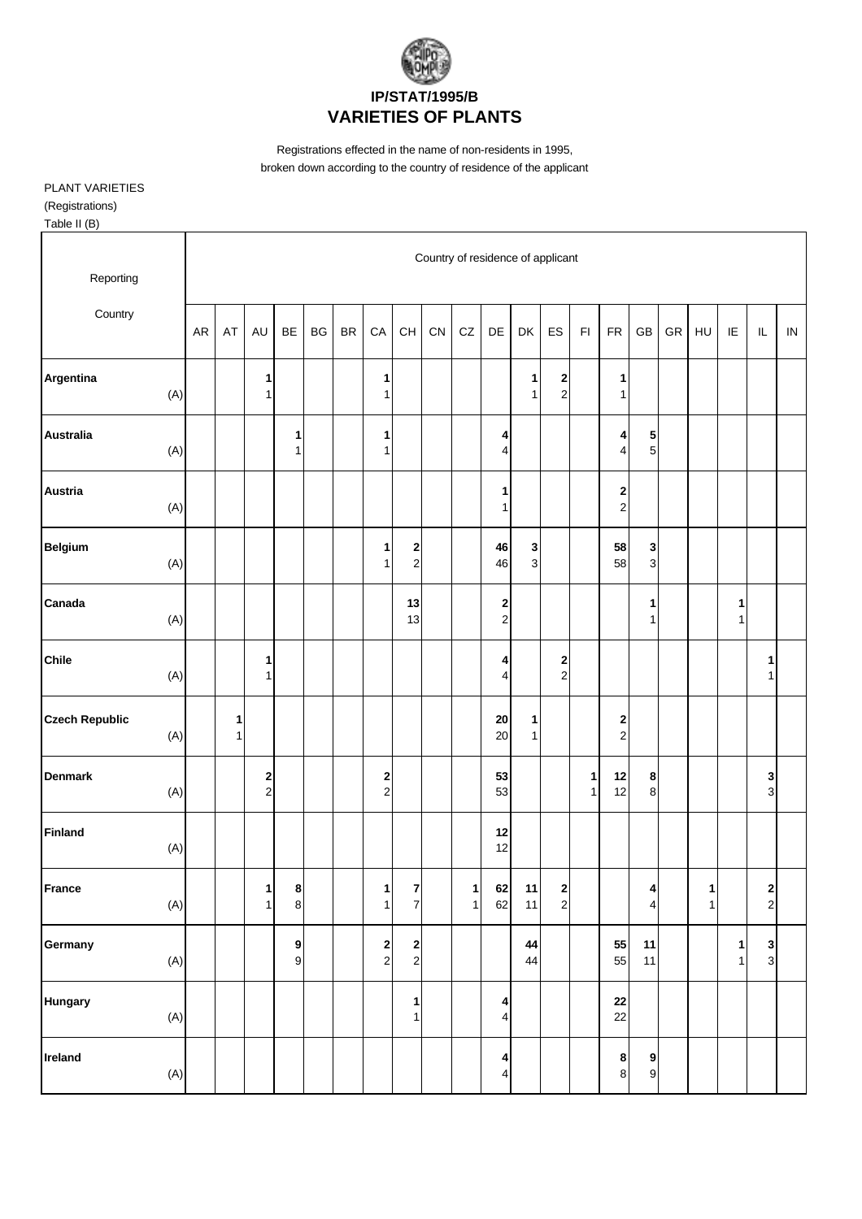

Registrations effected in the name of non-residents in 1995, broken down according to the country of residence of the applicant

PLANT VARIETIES (Registrations)

Table II (B)

| Reporting                    |            |        |                              |                                      |           |           |                     |                                          |    |                   |                                                    |                              | Country of residence of applicant |                   |                                             |                                           |    |                   |                              |                             |          |
|------------------------------|------------|--------|------------------------------|--------------------------------------|-----------|-----------|---------------------|------------------------------------------|----|-------------------|----------------------------------------------------|------------------------------|-----------------------------------|-------------------|---------------------------------------------|-------------------------------------------|----|-------------------|------------------------------|-----------------------------|----------|
| Country                      | ${\sf AR}$ | AT     | AU                           | BE                                   | <b>BG</b> | <b>BR</b> | ${\sf CA}$          | $\mathsf{CH}% \left( \mathcal{M}\right)$ | CN | CZ                | DE                                                 | DK                           | ES                                | $\mathsf{FI}$     | <b>FR</b>                                   | GB                                        | GR | HU                | IE                           | $\mathsf{IL}$               | $\sf IN$ |
| Argentina<br>(A)             |            |        | 1<br>$\mathbf{1}$            |                                      |           |           | 1<br>1              |                                          |    |                   |                                                    | 1<br>1                       | 2<br>$\mathbf 2$                  |                   | 1<br>$\mathbf{1}$                           |                                           |    |                   |                              |                             |          |
| <b>Australia</b><br>(A)      |            |        |                              | 1<br>1                               |           |           | 1<br>$\mathbf{1}$   |                                          |    |                   | 4<br>4                                             |                              |                                   |                   | 4<br>$\overline{\mathbf{4}}$                | ${\bf 5}$<br>$\sqrt{5}$                   |    |                   |                              |                             |          |
| Austria<br>(A)               |            |        |                              |                                      |           |           |                     |                                          |    |                   | 1<br>$\mathbf{1}$                                  |                              |                                   |                   | $\begin{array}{c} \n2 \\ \n2 \n\end{array}$ |                                           |    |                   |                              |                             |          |
| <b>Belgium</b><br>(A)        |            |        |                              |                                      |           |           | 1<br>1              | 2<br>$\boldsymbol{2}$                    |    |                   | 46<br>46                                           | $\mathbf{3}$<br>$\mathbf{3}$ |                                   |                   | 58<br>58                                    | 3<br>$\mathbf{3}$                         |    |                   |                              |                             |          |
| Canada<br>(A)                |            |        |                              |                                      |           |           |                     | 13<br>13                                 |    |                   | $\overline{\mathbf{c}}$<br>$\overline{\mathbf{c}}$ |                              |                                   |                   |                                             | 1<br>$\mathbf{1}$                         |    |                   | 1<br>$\mathbf{1}$            |                             |          |
| <b>Chile</b><br>(A)          |            |        | 1<br>$\mathbf{1}$            |                                      |           |           |                     |                                          |    |                   | 4<br>$\overline{\mathbf{4}}$                       |                              | $\mathbf 2$<br>$\mathbf{2}$       |                   |                                             |                                           |    |                   |                              | 1<br>$\mathbf{1}$           |          |
| <b>Czech Republic</b><br>(A) |            | 1<br>1 |                              |                                      |           |           |                     |                                          |    |                   | ${\bf 20}$<br>20                                   | 1<br>$\mathbf{1}$            |                                   |                   | 2<br>$\overline{a}$                         |                                           |    |                   |                              |                             |          |
| <b>Denmark</b><br>(A)        |            |        | 2<br>$\overline{c}$          |                                      |           |           | 2<br>$\overline{c}$ |                                          |    |                   | 53<br>53                                           |                              |                                   | 1<br>$\mathbf{1}$ | 12<br>12                                    | 8<br>$\bf 8$                              |    |                   |                              | 3<br>$\mathbf 3$            |          |
| <b>Finland</b><br>(A)        |            |        |                              |                                      |           |           |                     |                                          |    |                   | 12<br>12                                           |                              |                                   |                   |                                             |                                           |    |                   |                              |                             |          |
| France<br>(A)                |            |        | $\mathbf{1}$<br>$\mathbf{1}$ | $\boldsymbol{8}$<br>$\bf 8$          |           |           | 1<br>$\mathbf{1}$   | $\overline{7}$<br>$\boldsymbol{7}$       |    | $\mathbf{1}$<br>1 | 62<br>62                                           | $11$<br>11                   | $\mathbf{2}$<br>$\mathbf{2}$      |                   |                                             | $\overline{\mathbf{4}}$<br>$\overline{4}$ |    | $\mathbf{1}$<br>1 |                              | $\mathbf{2}$<br>$\mathbf 2$ |          |
| Germany<br>(A)               |            |        |                              | $\boldsymbol{9}$<br>$\boldsymbol{9}$ |           |           | $\frac{2}{2}$       | $\begin{array}{c} 2 \\ 2 \end{array}$    |    |                   |                                                    | 44<br>44                     |                                   |                   | 55<br>55                                    | 11<br>11                                  |    |                   | $\mathbf{1}$<br>$\mathbf{1}$ | 3 <sub>3</sub>              |          |
| <b>Hungary</b><br>$(A)$      |            |        |                              |                                      |           |           |                     | 1<br>$\mathbf{1}$                        |    |                   | 4<br>4                                             |                              |                                   |                   | ${\bf 22}$<br>22                            |                                           |    |                   |                              |                             |          |
| Ireland<br>(A)               |            |        |                              |                                      |           |           |                     |                                          |    |                   | 4<br>4                                             |                              |                                   |                   | $\boldsymbol{8}$<br>$\bf 8$                 | 9<br>$\mathbf{9}$                         |    |                   |                              |                             |          |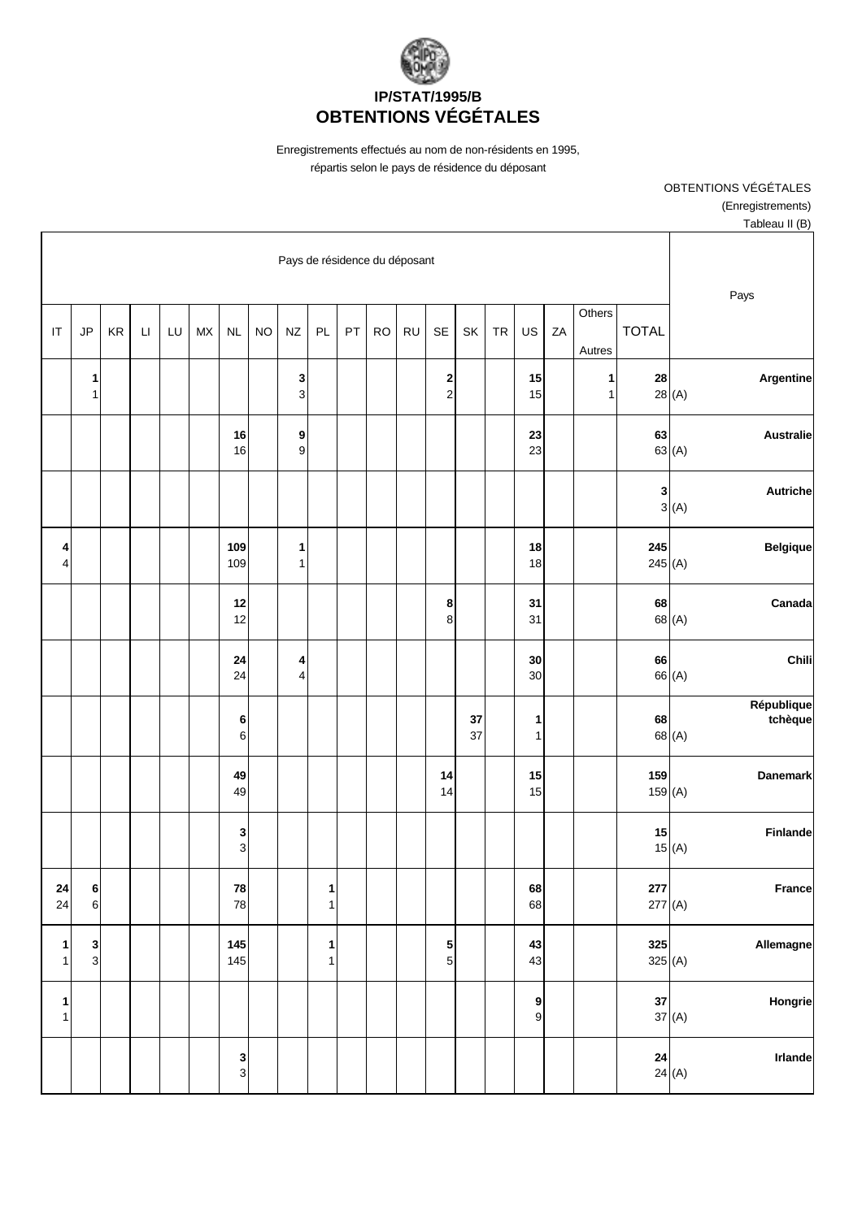

Enregistrements effectués au nom de non-résidents en 1995, répartis selon le pays de résidence du déposant

> OBTENTIONS VÉGÉTALES (Enregistrements) Tableau II (B)

|                                                             |                       |                   |                  |    |                   |           |          |                                           |           |           |    |                   | Pays de résidence du déposant |           |               |                  |    |                        |    |                              |                              |
|-------------------------------------------------------------|-----------------------|-------------------|------------------|----|-------------------|-----------|----------|-------------------------------------------|-----------|-----------|----|-------------------|-------------------------------|-----------|---------------|------------------|----|------------------------|----|------------------------------|------------------------------|
| Pays                                                        | <b>TOTAL</b>          |                   | Others<br>Autres | ZA | US                | <b>TR</b> | SK       | <b>SE</b>                                 | <b>RU</b> | <b>RO</b> | PT | PL                | <b>NZ</b>                     | <b>NO</b> | <b>NL</b>     | ${\sf M}{\sf X}$ | LU | $\mathsf{L}\mathsf{I}$ | KR | JP                           | $\mathsf{I}\mathsf{T}$       |
| Argentine<br>28(A)                                          | 28                    | 1<br>$\mathbf{1}$ |                  |    | 15<br>15          |           |          | $\overline{\mathbf{c}}$<br>$\overline{c}$ |           |           |    |                   | 3<br>$\mathsf 3$              |           |               |                  |    |                        |    | 1<br>$\overline{1}$          |                              |
| <b>Australie</b><br>63(A)                                   | 63                    |                   |                  |    | 23<br>23          |           |          |                                           |           |           |    |                   | 9<br>$\boldsymbol{9}$         |           | 16<br>16      |                  |    |                        |    |                              |                              |
| Autriche<br>3(A)                                            | 3                     |                   |                  |    |                   |           |          |                                           |           |           |    |                   |                               |           |               |                  |    |                        |    |                              |                              |
| <b>Belgique</b>                                             | 245<br>245(A)         |                   |                  |    | 18<br>18          |           |          |                                           |           |           |    |                   | 1<br>$\mathbf{1}$             |           | 109<br>109    |                  |    |                        |    |                              | 4<br>4                       |
| Canada<br>68 (A)                                            | 68                    |                   |                  |    | 31<br>31          |           |          | 8<br>8                                    |           |           |    |                   |                               |           | 12<br>12      |                  |    |                        |    |                              |                              |
| Chili<br>66 (A)                                             | 66                    |                   |                  |    | 30<br>30          |           |          |                                           |           |           |    |                   | 4<br>$\overline{4}$           |           | 24<br>24      |                  |    |                        |    |                              |                              |
| République<br>tchèque<br>68 (A)                             | 68                    |                   |                  |    | 1<br>1            |           | 37<br>37 |                                           |           |           |    |                   |                               |           | 6<br>6        |                  |    |                        |    |                              |                              |
| <b>Danemark</b>                                             | 159<br>159(A)         |                   |                  |    | 15<br>15          |           |          | 14<br>14                                  |           |           |    |                   |                               |           | 49<br>49      |                  |    |                        |    |                              |                              |
| Finlande<br>15(A)                                           | 15                    |                   |                  |    |                   |           |          |                                           |           |           |    |                   |                               |           | 3<br>3        |                  |    |                        |    |                              |                              |
| France                                                      | ${\bf 277}$<br>277(A) |                   |                  |    | 68<br>68          |           |          |                                           |           |           |    | 1<br>$\mathbf 1$  |                               |           | 78<br>78      |                  |    |                        |    | $\bf 6$<br>$\,$ 6 $\,$       | 24<br>24                     |
| Allemagne                                                   | 325<br>325 $(A)$      |                   |                  |    | 43<br>43          |           |          | $\frac{5}{5}$                             |           |           |    | 1<br>$\mathbf{1}$ |                               |           | 145<br>145    |                  |    |                        |    | $\mathbf{3}$<br>$\mathbf{3}$ | $\mathbf{1}$<br>$\mathbf{1}$ |
| Hongrie<br>37(A)                                            | ${\bf 37}$            |                   |                  |    | 9<br>$\mathbf{g}$ |           |          |                                           |           |           |    |                   |                               |           |               |                  |    |                        |    |                              | $\mathbf{1}$<br>$\mathbf{1}$ |
| $\begin{array}{c c} 24 & \ 24 & (A) \end{array}$<br>Irlande |                       |                   |                  |    |                   |           |          |                                           |           |           |    |                   |                               |           | $\frac{3}{3}$ |                  |    |                        |    |                              |                              |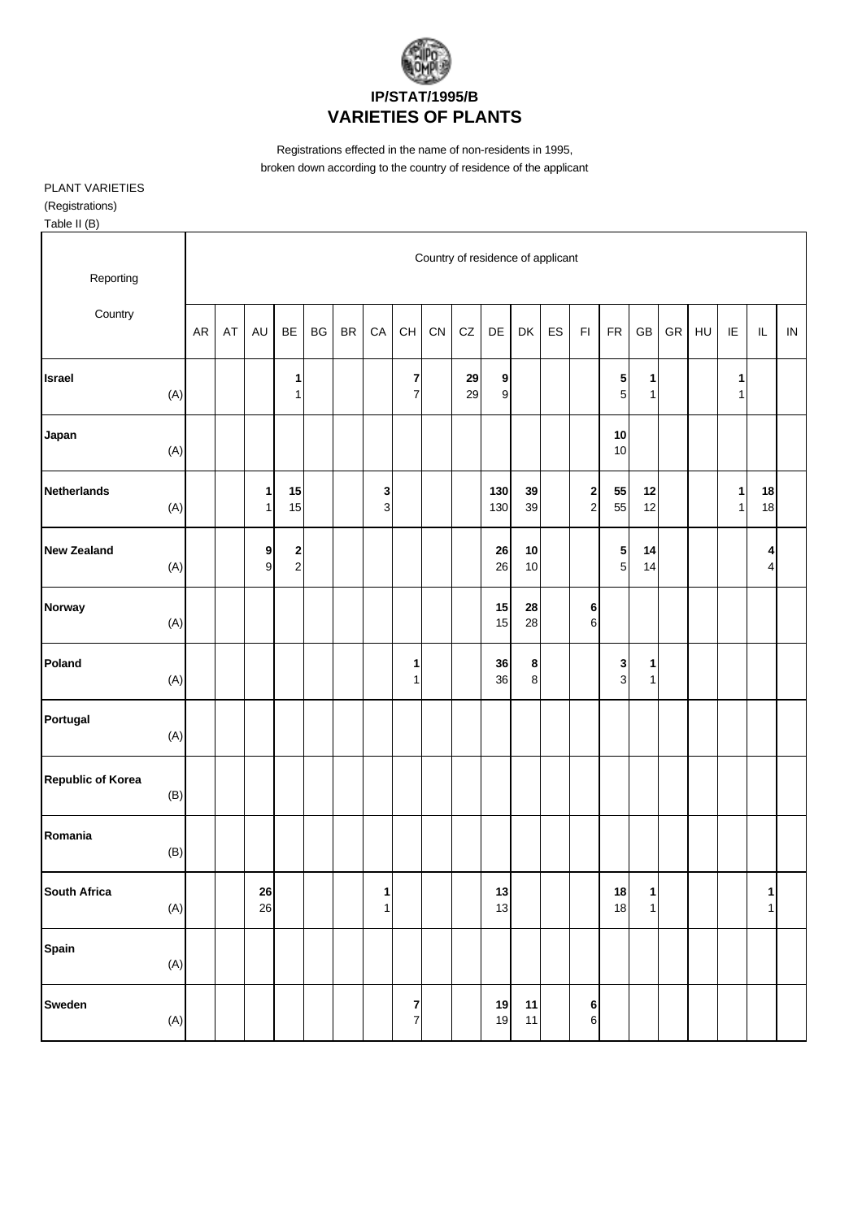

Registrations effected in the name of non-residents in 1995, broken down according to the country of residence of the applicant

PLANT VARIETIES (Registrations)

Table II (B)

| Reporting                |                |           |    |                              |                                           |    |               |                     |                                    |    | Country of residence of applicant |                                      |                     |    |                                |               |                     |    |    |                   |                   |          |
|--------------------------|----------------|-----------|----|------------------------------|-------------------------------------------|----|---------------|---------------------|------------------------------------|----|-----------------------------------|--------------------------------------|---------------------|----|--------------------------------|---------------|---------------------|----|----|-------------------|-------------------|----------|
| Country                  |                | <b>AR</b> | AT | AU                           | BE                                        | BG | $\mathsf{BR}$ | ${\sf CA}$          | CH                                 | CN | CZ                                | DE                                   | DK                  | ES | $\mathsf{F} \mathsf{I}$        | ${\sf FR}$    | GB                  | GR | HU | IE                | $\sf IL$          | $\sf IN$ |
| Israel                   | (A)            |           |    |                              | 1<br>$\mathbf{1}$                         |    |               |                     | $\bf 7$<br>$\boldsymbol{7}$        |    | 29<br>29                          | $\boldsymbol{9}$<br>$\boldsymbol{9}$ |                     |    |                                | 5<br>5        | 1<br>1              |    |    | 1<br>$\mathbf{1}$ |                   |          |
| Japan                    | (A)            |           |    |                              |                                           |    |               |                     |                                    |    |                                   |                                      |                     |    |                                | 10<br>10      |                     |    |    |                   |                   |          |
| <b>Netherlands</b>       | (A)            |           |    | $\mathbf{1}$<br>$\mathbf{1}$ | 15<br>15                                  |    |               | 3<br>$\overline{3}$ |                                    |    |                                   | 130<br>130                           | 39<br>39            |    | $\mathbf{2}$<br>$\overline{a}$ | 55<br>55      | 12<br>12            |    |    | $\mathbf{1}$<br>1 | 18<br>18          |          |
| <b>New Zealand</b>       | (A)            |           |    | 9<br>$\mathsf g$             | $\overline{\mathbf{c}}$<br>$\overline{2}$ |    |               |                     |                                    |    |                                   | 26<br>26                             | 10<br>10            |    |                                | $\frac{5}{5}$ | 14<br>14            |    |    |                   | 4<br>4            |          |
| Norway                   | (A)            |           |    |                              |                                           |    |               |                     |                                    |    |                                   | 15<br>15                             | 28<br>28            |    | 6<br>6                         |               |                     |    |    |                   |                   |          |
| Poland                   | (A)            |           |    |                              |                                           |    |               |                     | 1<br>1                             |    |                                   | 36<br>36                             | 8<br>8 <sup>1</sup> |    |                                | $\frac{3}{3}$ | 1<br>1              |    |    |                   |                   |          |
| Portugal                 | (A)            |           |    |                              |                                           |    |               |                     |                                    |    |                                   |                                      |                     |    |                                |               |                     |    |    |                   |                   |          |
| <b>Republic of Korea</b> | (B)            |           |    |                              |                                           |    |               |                     |                                    |    |                                   |                                      |                     |    |                                |               |                     |    |    |                   |                   |          |
| Romania                  | (B)            |           |    |                              |                                           |    |               |                     |                                    |    |                                   |                                      |                     |    |                                |               |                     |    |    |                   |                   |          |
| South Africa             | $(A)$          |           |    | 26<br>26                     |                                           |    |               | 1<br>$\mathbf{1}$   |                                    |    |                                   | 13<br>13                             |                     |    |                                | 18<br>18      | 1<br>1 <sup>1</sup> |    |    |                   | 1<br>$\mathbf{1}$ |          |
| Spain                    | (A)            |           |    |                              |                                           |    |               |                     |                                    |    |                                   |                                      |                     |    |                                |               |                     |    |    |                   |                   |          |
| Sweden                   | $(\mathsf{A})$ |           |    |                              |                                           |    |               |                     | $\overline{7}$<br>$\boldsymbol{7}$ |    |                                   | 19<br>19                             | 11<br>$11$          |    | 6<br>$6 \mid$                  |               |                     |    |    |                   |                   |          |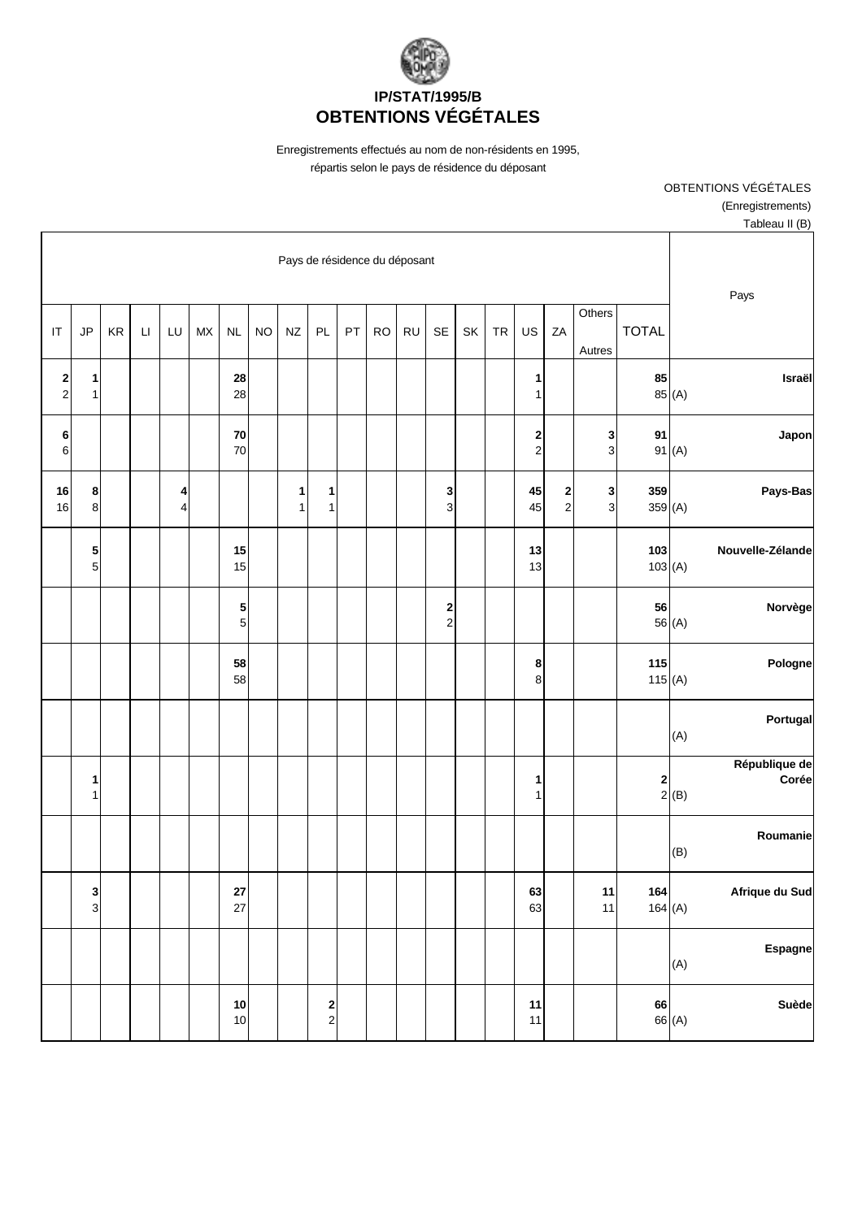

Enregistrements effectués au nom de non-résidents en 1995, répartis selon le pays de résidence du déposant

> OBTENTIONS VÉGÉTALES (Enregistrements) Tableau II (B)

|                                                                    |               |                     |                                |                     |           |    |                     | Pays de résidence du déposant |           |    |                                          |                   |           |            |                  |        |                        |    |                         |                                           |
|--------------------------------------------------------------------|---------------|---------------------|--------------------------------|---------------------|-----------|----|---------------------|-------------------------------|-----------|----|------------------------------------------|-------------------|-----------|------------|------------------|--------|------------------------|----|-------------------------|-------------------------------------------|
| Pays                                                               | <b>TOTAL</b>  | Others<br>Autres    | ZA                             | US                  | <b>TR</b> | SK | <b>SE</b>           | <b>RU</b>                     | <b>RO</b> | PT | PL                                       | $N\!Z$            | <b>NO</b> | <b>NL</b>  | ${\sf M}{\sf X}$ | LU     | $\mathsf{L}\mathsf{I}$ | KR | JP                      | $\mathsf{I}\mathsf{T}$                    |
| Israël<br>85 (A)                                                   | 85            |                     |                                | 1<br>1              |           |    |                     |                               |           |    |                                          |                   |           | 28<br>28   |                  |        |                        |    | 1<br>$\mathbf{1}$       | $\overline{\mathbf{c}}$<br>$\overline{c}$ |
| Japon<br>91(A)                                                     | 91            | 3<br>3              |                                | 2<br>$\overline{c}$ |           |    |                     |                               |           |    |                                          |                   |           | 70<br>70   |                  |        |                        |    |                         | 6<br>6                                    |
| Pays-Bas                                                           | 359<br>359(A) | 3<br>$\overline{3}$ | $\mathbf{2}$<br>$\overline{a}$ | 45<br>45            |           |    | 3<br>3              |                               |           |    | 1<br>1                                   | 1<br>$\mathbf{1}$ |           |            |                  | 4<br>4 |                        |    | 8<br>$\,8\,$            | 16<br>16                                  |
| Nouvelle-Zélande                                                   | 103<br>103(A) |                     |                                | 13<br>13            |           |    |                     |                               |           |    |                                          |                   |           | 15<br>15   |                  |        |                        |    | ${\bf 5}$<br>$\sqrt{5}$ |                                           |
| Norvège<br>56 (A)                                                  | 56            |                     |                                |                     |           |    | 2<br>$\overline{c}$ |                               |           |    |                                          |                   |           | 5<br>5     |                  |        |                        |    |                         |                                           |
| Pologne                                                            | 115<br>115(A) |                     |                                | 8<br>8              |           |    |                     |                               |           |    |                                          |                   |           | 58<br>58   |                  |        |                        |    |                         |                                           |
| Portugal<br>(A)                                                    |               |                     |                                |                     |           |    |                     |                               |           |    |                                          |                   |           |            |                  |        |                        |    |                         |                                           |
| République de<br>Corée<br>$\begin{array}{c c}\n2 & B\n\end{array}$ |               |                     |                                | 1<br>1              |           |    |                     |                               |           |    |                                          |                   |           |            |                  |        |                        |    | 1<br>$\mathbf{1}$       |                                           |
| Roumanie<br>(B)                                                    |               |                     |                                |                     |           |    |                     |                               |           |    |                                          |                   |           |            |                  |        |                        |    |                         |                                           |
| Afrique du Sud                                                     | 164<br>164(A) | 11<br>11            |                                | 63<br>63            |           |    |                     |                               |           |    |                                          |                   |           | 27<br>27   |                  |        |                        |    | $\frac{3}{3}$           |                                           |
| Espagne<br>(A)                                                     |               |                     |                                |                     |           |    |                     |                               |           |    |                                          |                   |           |            |                  |        |                        |    |                         |                                           |
| Suède<br>66 (A)                                                    | 66            |                     |                                | 11<br>11            |           |    |                     |                               |           |    | $\begin{array}{c} \n2 \\ 2\n\end{array}$ |                   |           | $10$<br>10 |                  |        |                        |    |                         |                                           |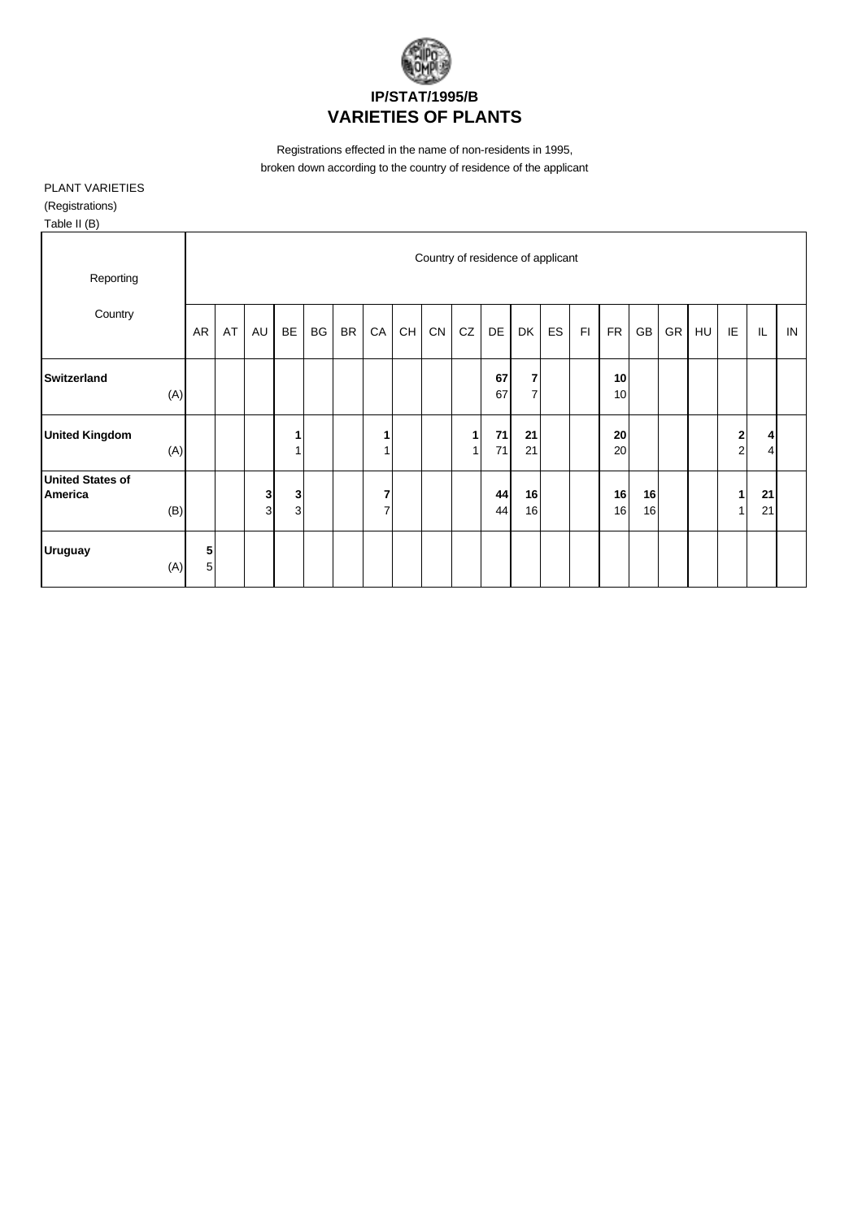

Registrations effected in the name of non-residents in 1995, broken down according to the country of residence of the applicant

## PLANT VARIETIES (Registrations)

| Table II (B) |
|--------------|
|--------------|

| Reporting                                        |        |    |        |                   |    |           |                     |    | Country of residence of applicant |        |          |                                  |    |    |           |          |    |    |                                    |                     |    |
|--------------------------------------------------|--------|----|--------|-------------------|----|-----------|---------------------|----|-----------------------------------|--------|----------|----------------------------------|----|----|-----------|----------|----|----|------------------------------------|---------------------|----|
| Country                                          | AR     | AT | AU     | BE                | BG | <b>BR</b> | CA                  | CH | ${\sf CN}$                        | CZ     | DE       | DK                               | ES | F1 | <b>FR</b> | GB       | GR | HU | IE                                 | IL                  | IN |
| <b>Switzerland</b><br>(A)                        |        |    |        |                   |    |           |                     |    |                                   |        | 67<br>67 | $\overline{7}$<br>$\overline{7}$ |    |    | 10<br>10  |          |    |    |                                    |                     |    |
| <b>United Kingdom</b><br>(A)                     |        |    |        | 1<br>1            |    |           | 1<br>1              |    |                                   | 1<br>1 | 71<br>71 | 21<br>21                         |    |    | 20<br>20  |          |    |    | $\boldsymbol{2}$<br>$\overline{2}$ | 4<br>$\overline{4}$ |    |
| <b>United States of</b><br><b>America</b><br>(B) |        |    | 3<br>3 | 3<br>$\mathbf{3}$ |    |           | 7<br>$\overline{7}$ |    |                                   |        | 44<br>44 | 16<br>16                         |    |    | 16<br>16  | 16<br>16 |    |    | 1<br>$\mathbf{1}$                  | 21<br>21            |    |
| <b>Uruguay</b><br>(A)                            | 5<br>5 |    |        |                   |    |           |                     |    |                                   |        |          |                                  |    |    |           |          |    |    |                                    |                     |    |